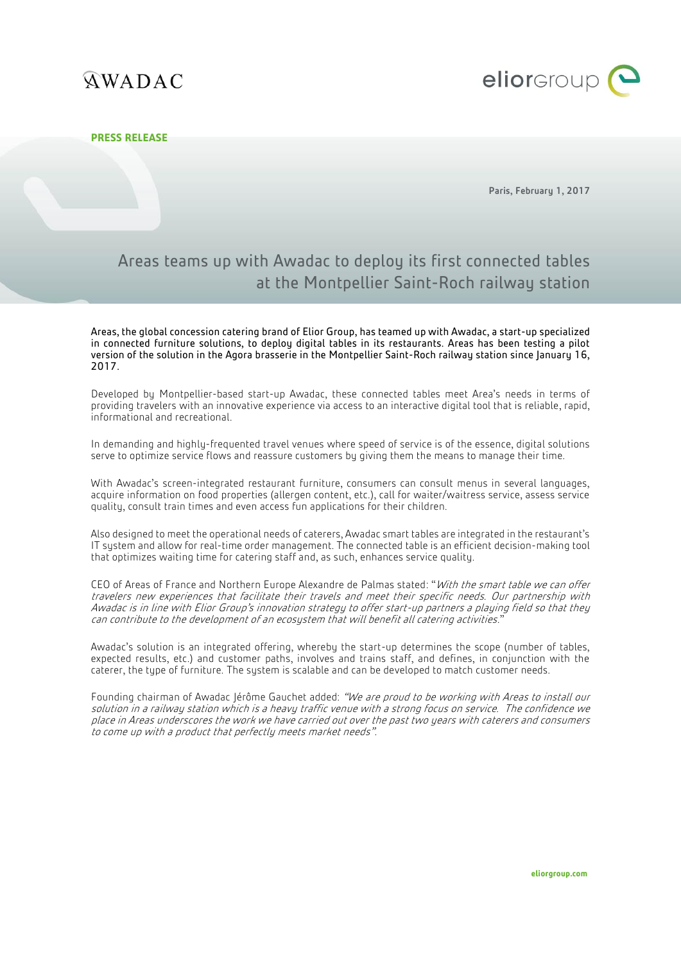# **QWADAC**



### **PRESS RELEASE**

Paris, February 1, 2017

## Areas teams up with Awadac to deploy its first connected tables at the Montpellier Saint-Roch railway station

Areas, the global concession catering brand of Elior Group, has teamed up with Awadac, a start-up specialized in connected furniture solutions, to deploy digital tables in its restaurants. Areas has been testing a pilot version of the solution in the Agora brasserie in the Montpellier Saint-Roch railway station since January 16, 2017.

Developed by Montpellier-based start-up Awadac, these connected tables meet Area's needs in terms of providing travelers with an innovative experience via access to an interactive digital tool that is reliable, rapid, informational and recreational.

In demanding and highly-frequented travel venues where speed of service is of the essence, digital solutions serve to optimize service flows and reassure customers by giving them the means to manage their time.

With Awadac's screen-integrated restaurant furniture, consumers can consult menus in several languages, acquire information on food properties (allergen content, etc.), call for waiter/waitress service, assess service quality, consult train times and even access fun applications for their children.

Also designed to meet the operational needs of caterers, Awadac smart tables are integrated in the restaurant's IT system and allow for real-time order management. The connected table is an efficient decision-making tool that optimizes waiting time for catering staff and, as such, enhances service quality.

CEO of Areas of France and Northern Europe Alexandre de Palmas stated: "With the smart table we can offer travelers new experiences that facilitate their travels and meet their specific needs. Our partnership with Awadac is in line with Elior Group's innovation strategy to offer start-up partners a playing field so that they can contribute to the development of an ecosystem that will benefit all catering activities."

Awadac's solution is an integrated offering, whereby the start-up determines the scope (number of tables, expected results, etc.) and customer paths, involves and trains staff, and defines, in conjunction with the caterer, the type of furniture. The system is scalable and can be developed to match customer needs.

Founding chairman of Awadac Jérôme Gauchet added: "We are proud to be working with Areas to install our solution in a railway station which is a heavy traffic venue with a strong focus on service. The confidence we place in Areas underscores the work we have carried out over the past two years with caterers and consumers to come up with a product that perfectly meets market needs".